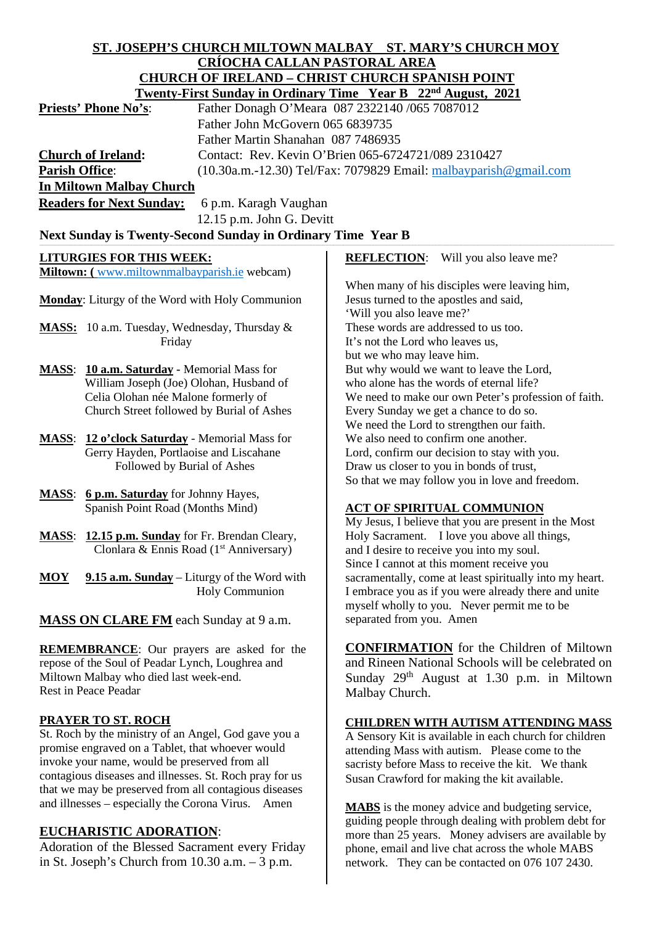# **ST. JOSEPH'S CHURCH MILTOWN MALBAY ST. MARY'S CHURCH MOY CRÍOCHA CALLAN PASTORAL AREA CHURCH OF IRELAND – CHRIST CHURCH SPANISH POINT**

|                                                                               |                                                                  | Twenty-First Sunday in Ordinary Time Year B 22 <sup>nd</sup> August, 2021 |
|-------------------------------------------------------------------------------|------------------------------------------------------------------|---------------------------------------------------------------------------|
| <b>Priests' Phone No's:</b><br>Father Donagh O'Meara 087 2322140 /065 7087012 |                                                                  |                                                                           |
|                                                                               | Father John McGovern 065 6839735                                 |                                                                           |
|                                                                               | Father Martin Shanahan 087 7486935                               |                                                                           |
| <b>Church of Ireland:</b>                                                     | Contact: Rev. Kevin O'Brien 065-6724721/089 2310427              |                                                                           |
| <b>Parish Office:</b>                                                         | (10.30a.m.-12.30) Tel/Fax: 7079829 Email: malbayparish@gmail.com |                                                                           |
| <b>In Miltown Malbay Church</b>                                               |                                                                  |                                                                           |
| <b>Readers for Next Sunday:</b>                                               | 6 p.m. Karagh Vaughan                                            |                                                                           |
|                                                                               | 12.15 p.m. John G. Devitt                                        |                                                                           |
| <b>Next Sunday is Twenty-Second Sunday in Ordinary Time Year B</b>            |                                                                  |                                                                           |
| <b>LITURGIES FOR THIS WEEK:</b>                                               |                                                                  | <b>REFLECTION:</b><br>Will you also leave me?                             |
| <b>Miltown:</b> (www.miltownmalbayparish.ie webcam)                           |                                                                  |                                                                           |
|                                                                               |                                                                  | When many of his disciples were leaving him,                              |
| Monday: Liturgy of the Word with Holy Communion                               |                                                                  | Jesus turned to the apostles and said,                                    |
|                                                                               |                                                                  | 'Will you also leave me?'                                                 |
| <b>MASS:</b> 10 a.m. Tuesday, Wednesday, Thursday &                           |                                                                  | These words are addressed to us too.                                      |
| Friday                                                                        |                                                                  | It's not the Lord who leaves us,                                          |
|                                                                               |                                                                  | but we who may leave him.                                                 |
| <b>MASS:</b> 10 a.m. Saturday - Memorial Mass for                             |                                                                  | But why would we want to leave the Lord,                                  |

- William Joseph (Joe) Olohan, Husband of Celia Olohan née Malone formerly of Church Street followed by Burial of Ashes
- **MASS**: **12 o'clock Saturday** Memorial Mass for Gerry Hayden, Portlaoise and Liscahane Followed by Burial of Ashes
- **MASS**: **6 p.m. Saturday** for Johnny Hayes, Spanish Point Road (Months Mind)
- **MASS**: **12.15 p.m. Sunday** for Fr. Brendan Cleary, Clonlara & Ennis Road  $(1<sup>st</sup>$  Anniversary)
- **MOY 9.15 a.m. Sunday** Liturgy of the Word with Holy Communion

**MASS ON CLARE FM** each Sunday at 9 a.m.

**REMEMBRANCE**: Our prayers are asked for the repose of the Soul of Peadar Lynch, Loughrea and Miltown Malbay who died last week-end. Rest in Peace Peadar

## **PRAYER TO ST. ROCH**

St. Roch by the ministry of an Angel, God gave you a promise engraved on a Tablet, that whoever would invoke your name, would be preserved from all contagious diseases and illnesses. St. Roch pray for us that we may be preserved from all contagious diseases and illnesses – especially the Corona Virus. Amen

# **EUCHARISTIC ADORATION**:

Adoration of the Blessed Sacrament every Friday in St. Joseph's Church from 10.30 a.m. – 3 p.m.

who alone has the words of eternal life? We need to make our own Peter's profession of faith. Every Sunday we get a chance to do so. We need the Lord to strengthen our faith. We also need to confirm one another. Lord, confirm our decision to stay with you. Draw us closer to you in bonds of trust, So that we may follow you in love and freedom.

## **ACT OF SPIRITUAL COMMUNION**

My Jesus, I believe that you are present in the Most Holy Sacrament. I love you above all things, and I desire to receive you into my soul. Since I cannot at this moment receive you sacramentally, come at least spiritually into my heart. I embrace you as if you were already there and unite myself wholly to you. Never permit me to be separated from you. Amen

**CONFIRMATION** for the Children of Miltown and Rineen National Schools will be celebrated on Sunday 29<sup>th</sup> August at 1.30 p.m. in Miltown Malbay Church.

## **CHILDREN WITH AUTISM ATTENDING MASS**

A Sensory Kit is available in each church for children attending Mass with autism. Please come to the sacristy before Mass to receive the kit. We thank Susan Crawford for making the kit available.

**MABS** is the money advice and budgeting service, guiding people through dealing with problem debt for more than 25 years. Money advisers are available by phone, email and live chat across the whole MABS network. They can be contacted on 076 107 2430.